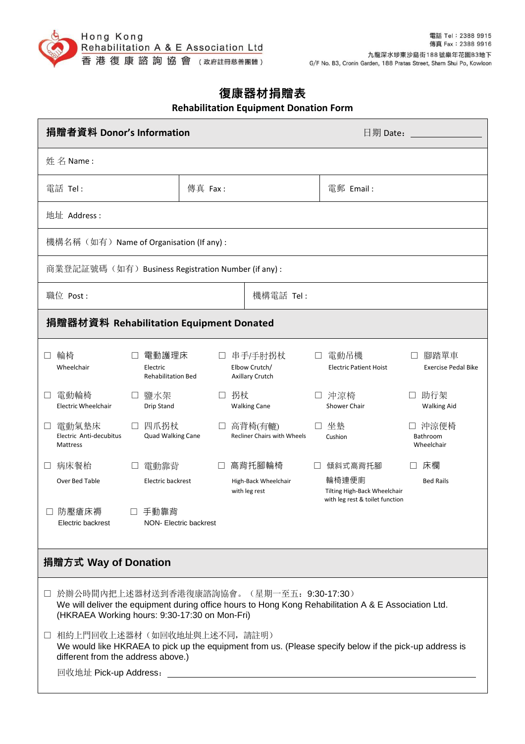

## **復康器材捐贈表 Rehabilitation Equipment Donation Form**

| 捐贈者資料 Donor's Information                                                                                                                                                                            |                        |                                                         | 日期 Date:                                                                 |                                              |
|------------------------------------------------------------------------------------------------------------------------------------------------------------------------------------------------------|------------------------|---------------------------------------------------------|--------------------------------------------------------------------------|----------------------------------------------|
| 姓名 Name:                                                                                                                                                                                             |                        |                                                         |                                                                          |                                              |
| 傳真 Fax:<br>電話 Tel:                                                                                                                                                                                   |                        |                                                         | 電郵 Email:                                                                |                                              |
| 地址 Address :                                                                                                                                                                                         |                        |                                                         |                                                                          |                                              |
| 機構名稱(如有)Name of Organisation (If any) :                                                                                                                                                              |                        |                                                         |                                                                          |                                              |
| 商業登記証號碼(如有)Business Registration Number (if any) :                                                                                                                                                   |                        |                                                         |                                                                          |                                              |
| 職位 Post:                                                                                                                                                                                             | 機構電話 Tel:              |                                                         |                                                                          |                                              |
| 捐贈器材資料 Rehabilitation Equipment Donated                                                                                                                                                              |                        |                                                         |                                                                          |                                              |
| 輪椅<br>電動護理床<br>$\Box$<br>$\Box$<br>Wheelchair<br>Electric<br><b>Rehabilitation Bed</b>                                                                                                               | ш                      | 串手/手肘拐杖<br>П<br>Elbow Crutch/<br><b>Axillary Crutch</b> | 電動吊機<br><b>Electric Patient Hoist</b>                                    | 腳踏單車<br>$\Box$<br><b>Exercise Pedal Bike</b> |
| 電動輪椅<br>鹽水架<br>⊔<br>Electric Wheelchair<br>Drip Stand                                                                                                                                                | 拐杖<br>$\Box$           | П<br><b>Walking Cane</b>                                | 沖涼椅<br>Shower Chair                                                      | 助行架<br><b>Walking Aid</b>                    |
| 四爪拐杖<br>電動氣墊床<br>$\Box$<br>$\perp$<br>Electric Anti-decubitus<br>Quad Walking Cane<br>Mattress                                                                                                       | $\Box$                 | 高背椅(有轆)<br><b>Recliner Chairs with Wheels</b>           | 坐墊<br>Cushion                                                            | 沖涼便椅<br>Bathroom<br>Wheelchair               |
| 病床餐枱<br>電動靠背<br>Ш                                                                                                                                                                                    | $\Box$                 | 高背托腳輪椅                                                  | 傾斜式高背托腳                                                                  | 床欄                                           |
| Over Bed Table<br>Electric backrest                                                                                                                                                                  |                        | High-Back Wheelchair<br>with leg rest                   | 輪椅連便廁<br>Tilting High-Back Wheelchair<br>with leg rest & toilet function | <b>Bed Rails</b>                             |
| 防壓瘡床褥<br>手動靠背<br>Electric backrest                                                                                                                                                                   | NON- Electric backrest |                                                         |                                                                          |                                              |
| 捐贈方式 Way of Donation                                                                                                                                                                                 |                        |                                                         |                                                                          |                                              |
| □ 於辦公時間內把上述器材送到香港復康諮詢協會。(星期一至五: 9:30-17:30)<br>We will deliver the equipment during office hours to Hong Kong Rehabilitation A & E Association Ltd.<br>(HKRAEA Working hours: 9:30-17:30 on Mon-Fri) |                        |                                                         |                                                                          |                                              |
| 相約上門回收上述器材(如回收地址與上述不同,請註明)<br>U.<br>We would like HKRAEA to pick up the equipment from us. (Please specify below if the pick-up address is<br>different from the address above.)                     |                        |                                                         |                                                                          |                                              |
|                                                                                                                                                                                                      |                        |                                                         |                                                                          |                                              |